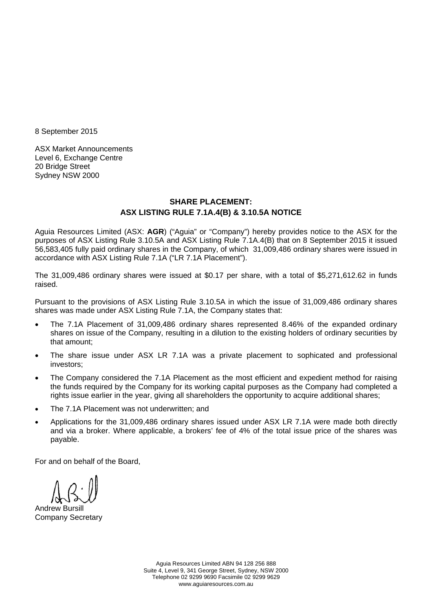8 September 2015

ASX Market Announcements Level 6, Exchange Centre 20 Bridge Street Sydney NSW 2000

### **SHARE PLACEMENT: ASX LISTING RULE 7.1A.4(B) & 3.10.5A NOTICE**

Aguia Resources Limited (ASX: **AGR**) ("Aguia" or "Company") hereby provides notice to the ASX for the purposes of ASX Listing Rule 3.10.5A and ASX Listing Rule 7.1A.4(B) that on 8 September 2015 it issued 56,583,405 fully paid ordinary shares in the Company, of which 31,009,486 ordinary shares were issued in accordance with ASX Listing Rule 7.1A ("LR 7.1A Placement").

The 31,009,486 ordinary shares were issued at \$0.17 per share, with a total of \$5,271,612.62 in funds raised.

Pursuant to the provisions of ASX Listing Rule 3.10.5A in which the issue of 31,009,486 ordinary shares shares was made under ASX Listing Rule 7.1A, the Company states that:

- The 7.1A Placement of 31,009,486 ordinary shares represented 8.46% of the expanded ordinary shares on issue of the Company, resulting in a dilution to the existing holders of ordinary securities by that amount;
- The share issue under ASX LR 7.1A was a private placement to sophicated and professional investors;
- The Company considered the 7.1A Placement as the most efficient and expedient method for raising the funds required by the Company for its working capital purposes as the Company had completed a rights issue earlier in the year, giving all shareholders the opportunity to acquire additional shares;
- The 7.1A Placement was not underwritten; and
- Applications for the 31,009,486 ordinary shares issued under ASX LR 7.1A were made both directly and via a broker. Where applicable, a brokers' fee of 4% of the total issue price of the shares was payable.

For and on behalf of the Board,

Andrew Bursill Company Secretary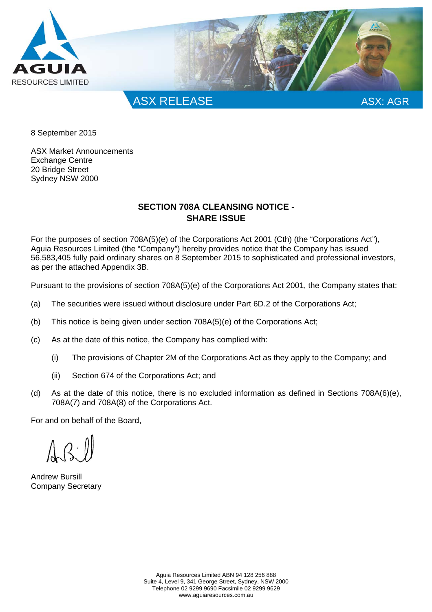

8 September 2015

ASX Market Announcements Exchange Centre 20 Bridge Street Sydney NSW 2000

## **SECTION 708A CLEANSING NOTICE - SHARE ISSUE**

For the purposes of section 708A(5)(e) of the Corporations Act 2001 (Cth) (the "Corporations Act"), Aguia Resources Limited (the "Company") hereby provides notice that the Company has issued 56,583,405 fully paid ordinary shares on 8 September 2015 to sophisticated and professional investors, as per the attached Appendix 3B.

Pursuant to the provisions of section 708A(5)(e) of the Corporations Act 2001, the Company states that:

- (a) The securities were issued without disclosure under Part 6D.2 of the Corporations Act;
- (b) This notice is being given under section 708A(5)(e) of the Corporations Act;
- (c) As at the date of this notice, the Company has complied with:
	- (i) The provisions of Chapter 2M of the Corporations Act as they apply to the Company; and
	- (ii) Section 674 of the Corporations Act; and
- (d) As at the date of this notice, there is no excluded information as defined in Sections 708A(6)(e), 708A(7) and 708A(8) of the Corporations Act.

For and on behalf of the Board,

Andrew Bursill Company Secretary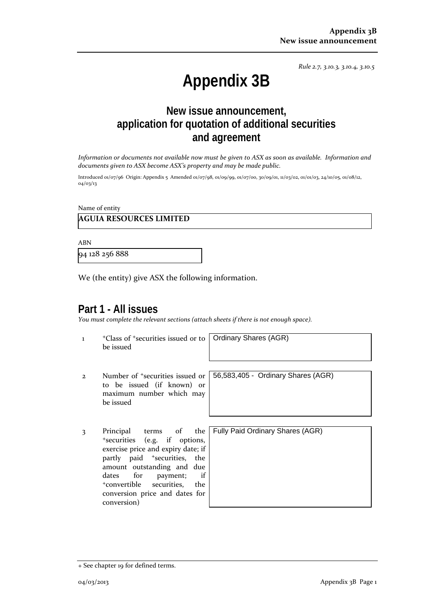*Rule 2.7, 3.10.3, 3.10.4, 3.10.5*

# **Appendix 3B**

## **New issue announcement, application for quotation of additional securities and agreement**

Information or documents not available now must be given to ASX as soon as available. Information and *documents given to ASX become ASX's property and may be made public.*

Introduced 01/07/96 Origin: Appendix 5 Amended 01/07/98, 01/09/99, 01/07/00, 30/09/01, 11/03/02, 01/01/03, 24/10/05, 01/08/12, 04/03/13

Name of entity

### **AGUIA RESOURCES LIMITED**

ABN

94 128 256 888

We (the entity) give ASX the following information.

## **Part 1 - All issues**

*You must complete the relevant sections (attach sheets if there is not enough space).*

1 +Class of +securities issued or to be issued

Ordinary Shares (AGR)

- 2 Number of +securities issued or to be issued (if known) or maximum number which may be issued
- 3 Principal terms of the +securities (e.g. if options, exercise price and expiry date; if partly paid <sup>+</sup>securities, the amount outstanding and due dates for payment; if +convertible securities, the conversion price and dates for conversion)

56,583,405 - Ordinary Shares (AGR)

Fully Paid Ordinary Shares (AGR)

<sup>+</sup> See chapter 19 for defined terms.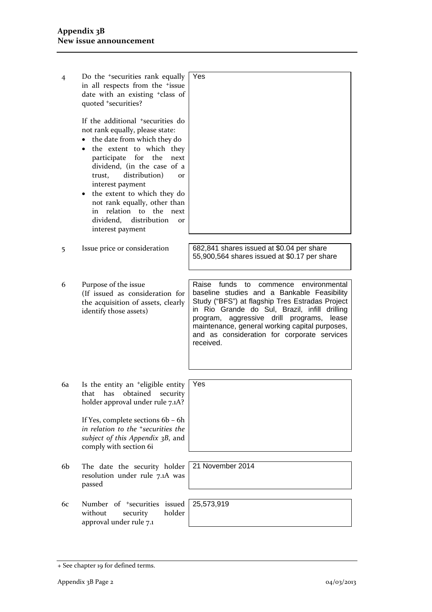| $\overline{4}$ | Do the <sup>+</sup> securities rank equally<br>in all respects from the <sup>+</sup> issue<br>date with an existing <sup>+</sup> class of<br>quoted +securities?<br>If the additional <sup>+</sup> securities do<br>not rank equally, please state:<br>the date from which they do<br>the extent to which they<br>$\bullet$<br>participate for the<br>next<br>dividend, (in the case of a<br>distribution)<br>trust,<br><b>Or</b><br>interest payment<br>the extent to which they do<br>not rank equally, other than<br>relation to the next<br>in<br>dividend,<br>distribution<br>or<br>interest payment | Yes                                                                                                                                                                                                                                                                                                                                                                |
|----------------|-----------------------------------------------------------------------------------------------------------------------------------------------------------------------------------------------------------------------------------------------------------------------------------------------------------------------------------------------------------------------------------------------------------------------------------------------------------------------------------------------------------------------------------------------------------------------------------------------------------|--------------------------------------------------------------------------------------------------------------------------------------------------------------------------------------------------------------------------------------------------------------------------------------------------------------------------------------------------------------------|
|                |                                                                                                                                                                                                                                                                                                                                                                                                                                                                                                                                                                                                           |                                                                                                                                                                                                                                                                                                                                                                    |
| 5              | Issue price or consideration                                                                                                                                                                                                                                                                                                                                                                                                                                                                                                                                                                              | 682,841 shares issued at \$0.04 per share<br>55,900,564 shares issued at \$0.17 per share                                                                                                                                                                                                                                                                          |
|                |                                                                                                                                                                                                                                                                                                                                                                                                                                                                                                                                                                                                           |                                                                                                                                                                                                                                                                                                                                                                    |
| 6              | Purpose of the issue<br>(If issued as consideration for<br>the acquisition of assets, clearly<br>identify those assets)                                                                                                                                                                                                                                                                                                                                                                                                                                                                                   | funds<br>Raise<br>to<br>environmental<br>commence<br>baseline studies and a Bankable Feasibility<br>Study ("BFS") at flagship Tres Estradas Project<br>in Rio Grande do Sul, Brazil, infill drilling<br>program, aggressive drill programs,<br>lease<br>maintenance, general working capital purposes,<br>and as consideration for corporate services<br>received. |
|                |                                                                                                                                                                                                                                                                                                                                                                                                                                                                                                                                                                                                           |                                                                                                                                                                                                                                                                                                                                                                    |
| 6a             | Is the entity an <sup>+</sup> eligible entity<br>that<br>obtained<br>has<br>security<br>holder approval under rule 7.1A?<br>If Yes, complete sections 6b - 6h<br>in relation to the <sup>+</sup> securities the<br>subject of this Appendix 3B, and                                                                                                                                                                                                                                                                                                                                                       | Yes                                                                                                                                                                                                                                                                                                                                                                |
|                | comply with section 6i                                                                                                                                                                                                                                                                                                                                                                                                                                                                                                                                                                                    |                                                                                                                                                                                                                                                                                                                                                                    |
| 6b             | The date the security holder<br>resolution under rule 7.1A was<br>passed                                                                                                                                                                                                                                                                                                                                                                                                                                                                                                                                  | 21 November 2014                                                                                                                                                                                                                                                                                                                                                   |
| 6с             | Number of <sup>+</sup> securities<br>issued                                                                                                                                                                                                                                                                                                                                                                                                                                                                                                                                                               | 25,573,919                                                                                                                                                                                                                                                                                                                                                         |
|                | holder<br>without<br>security<br>approval under rule 7.1                                                                                                                                                                                                                                                                                                                                                                                                                                                                                                                                                  |                                                                                                                                                                                                                                                                                                                                                                    |

<sup>+</sup> See chapter 19 for defined terms.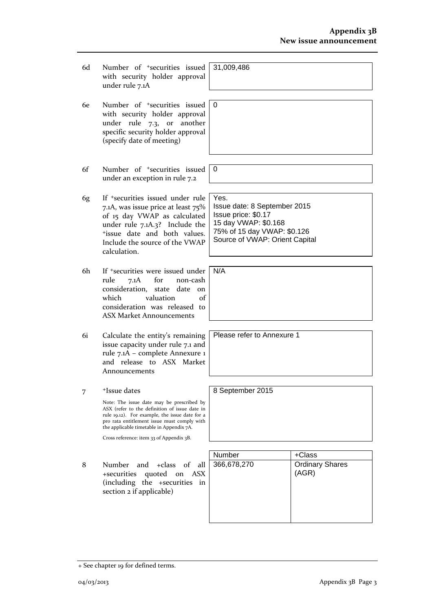- 6d Number of +securities issued with security holder approval under rule 7.1A
- 6e Number of +securities issued with security holder approval under rule 7.3, or another specific security holder approval (specify date of meeting)
- 6f Number of +securities issued under an exception in rule 7.2
- 6g If +securities issued under rule 7.1A, was issue price at least 75% of 15 day VWAP as calculated under rule 7.1A.3? Include the +issue date and both values. Include the source of the VWAP calculation.
- 6h If +securities were issued under rule 7.1A for non-cash consideration, state date on which valuation of consideration was released to ASX Market Announcements
- 6i Calculate the entity's remaining issue capacity under rule 7.1 and rule 7.1A – complete Annexure 1 and release to ASX Market Announcements
- 7 +Issue dates

Note: The issue date may be prescribed by ASX (refer to the definition of issue date in rule 19.12). For example, the issue date for a pro rata entitlement issue must comply with the applicable timetable in Appendix 7A.

Cross reference: item 33 of Appendix 3B.

|   |                                                                                                                                | <b>Number</b> | +Class                          |
|---|--------------------------------------------------------------------------------------------------------------------------------|---------------|---------------------------------|
| 8 | Number and +class of all 366,678,270<br>+securities quoted on ASX<br>(including the +securities in<br>section 2 if applicable) |               | <b>Ordinary Shares</b><br>(AGR) |

31,009,486

0

0

N/A

Yes. Issue date: 8 September 2015 Issue price: \$0.17 15 day VWAP: \$0.168 75% of 15 day VWAP: \$0.126 Source of VWAP: Orient Capital

Please refer to Annexure 1

8 September 2015

+ See chapter 19 for defined terms.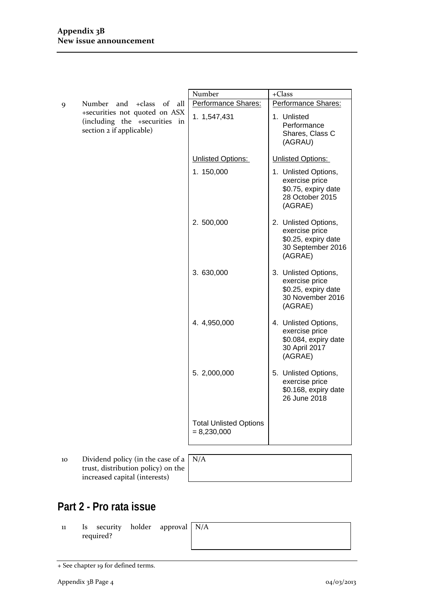|                                                                                                                                           |                                                                                                                                          | Number                                                   | $+Class$                                                                                      |
|-------------------------------------------------------------------------------------------------------------------------------------------|------------------------------------------------------------------------------------------------------------------------------------------|----------------------------------------------------------|-----------------------------------------------------------------------------------------------|
| Number<br>$+class$<br>of<br>all<br>and<br>9<br>+securities not quoted on ASX<br>(including the +securities in<br>section 2 if applicable) |                                                                                                                                          | Performance Shares:                                      | Performance Shares:                                                                           |
|                                                                                                                                           | 1. 1,547,431                                                                                                                             | 1. Unlisted<br>Performance<br>Shares, Class C<br>(AGRAU) |                                                                                               |
|                                                                                                                                           |                                                                                                                                          | Unlisted Options:                                        | Unlisted Options:                                                                             |
|                                                                                                                                           |                                                                                                                                          | 1. 150,000                                               | 1. Unlisted Options,<br>exercise price<br>\$0.75, expiry date<br>28 October 2015<br>(AGRAE)   |
|                                                                                                                                           |                                                                                                                                          | 2.500,000                                                | 2. Unlisted Options,<br>exercise price<br>\$0.25, expiry date<br>30 September 2016<br>(AGRAE) |
|                                                                                                                                           |                                                                                                                                          | 3.630,000                                                | 3. Unlisted Options,<br>exercise price<br>\$0.25, expiry date<br>30 November 2016<br>(AGRAE)  |
|                                                                                                                                           |                                                                                                                                          | 4.4,950,000                                              | 4. Unlisted Options,<br>exercise price<br>\$0.084, expiry date<br>30 April 2017<br>(AGRAE)    |
|                                                                                                                                           |                                                                                                                                          | 5. 2,000,000                                             | 5. Unlisted Options,<br>exercise price<br>\$0.168, expiry date<br>26 June 2018                |
|                                                                                                                                           |                                                                                                                                          | <b>Total Unlisted Options</b><br>$= 8,230,000$           |                                                                                               |
|                                                                                                                                           |                                                                                                                                          |                                                          |                                                                                               |
|                                                                                                                                           | $\mathbf{D}$ $\mathbf{L}$ $\mathbf{L}$ and $\mathbf{L}$ and $\mathbf{L}$ and $\mathbf{L}$ are $\mathbf{L}$ and $\mathbf{L}$ $\mathbf{L}$ |                                                          |                                                                                               |

10 Dividend policy (in the case of a N/A trust, distribution policy) on the increased capital (interests)

# **Part 2 - Pro rata issue**

11 Is security holder approval required?

N/A

<sup>+</sup> See chapter 19 for defined terms.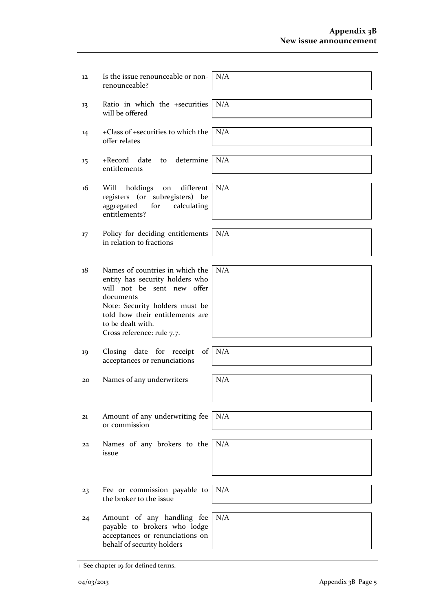|    | renounceable?                                                                                                                                                                                                                         |     |
|----|---------------------------------------------------------------------------------------------------------------------------------------------------------------------------------------------------------------------------------------|-----|
| 13 | Ratio in which the +securities<br>will be offered                                                                                                                                                                                     | N/A |
| 14 | +Class of +securities to which the<br>offer relates                                                                                                                                                                                   | N/A |
| 15 | determine<br>+Record date<br>to<br>entitlements                                                                                                                                                                                       | N/A |
| 16 | different<br>Will<br>holdings<br>on<br>registers (or subregisters) be<br>aggregated<br>for<br>calculating<br>entitlements?                                                                                                            | N/A |
| 17 | Policy for deciding entitlements<br>in relation to fractions                                                                                                                                                                          | N/A |
| 18 | Names of countries in which the<br>entity has security holders who<br>will not be sent new offer<br>documents<br>Note: Security holders must be<br>told how their entitlements are<br>to be dealt with.<br>Cross reference: rule 7.7. | N/A |
| 19 | Closing date for receipt<br>$of \mid$<br>acceptances or renunciations                                                                                                                                                                 | N/A |
| 20 | Names of any underwriters                                                                                                                                                                                                             | N/A |
| 21 | Amount of any underwriting fee<br>or commission                                                                                                                                                                                       | N/A |
| 22 | Names of any brokers to the<br>issue                                                                                                                                                                                                  | N/A |
| 23 | Fee or commission payable to<br>the broker to the issue                                                                                                                                                                               | N/A |
| 24 | Amount of any handling fee<br>payable to brokers who lodge<br>acceptances or renunciations on<br>behalf of security holders                                                                                                           | N/A |

N/A

 12 Is the issue renounceable or non‐

<sup>+</sup> See chapter 19 for defined terms.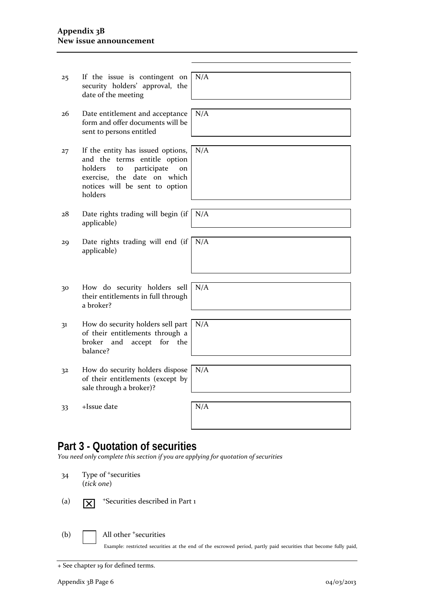### **Appendix 3B New issue announcement**

| 25 | If the issue is contingent on<br>security holders' approval, the<br>date of the meeting                                                                                             | N/A |
|----|-------------------------------------------------------------------------------------------------------------------------------------------------------------------------------------|-----|
| 26 | Date entitlement and acceptance<br>form and offer documents will be<br>sent to persons entitled                                                                                     | N/A |
| 27 | If the entity has issued options,<br>and the terms entitle option<br>holders<br>participate<br>to<br>on<br>exercise, the date on which<br>notices will be sent to option<br>holders | N/A |
| 28 | Date rights trading will begin (if<br>applicable)                                                                                                                                   | N/A |
| 29 | Date rights trading will end (if<br>applicable)                                                                                                                                     | N/A |
|    |                                                                                                                                                                                     |     |
| 30 | How do security holders sell<br>their entitlements in full through<br>a broker?                                                                                                     | N/A |
| 31 | How do security holders sell part<br>of their entitlements through a<br>broker<br>and<br>for<br>the<br>accept<br>balance?                                                           | N/A |
| 32 | How do security holders dispose<br>of their entitlements (except by<br>sale through a broker)?                                                                                      | N/A |
| 33 | +Issue date                                                                                                                                                                         | N/A |
|    |                                                                                                                                                                                     |     |

# **Part 3 - Quotation of securities**

*You need only complete this section if you are applying for quotation of securities*

| 34  | (tick one)              | Type of <sup>+</sup> securities                                                                                                                       |
|-----|-------------------------|-------------------------------------------------------------------------------------------------------------------------------------------------------|
| (a) | $\overline{\mathsf{x}}$ | <sup>+</sup> Securities described in Part 1                                                                                                           |
| (b) |                         | All other <sup>+</sup> securities<br>Example: restricted securities at the end of the escrowed period, partly paid securities that become fully paid, |

<sup>+</sup> See chapter 19 for defined terms.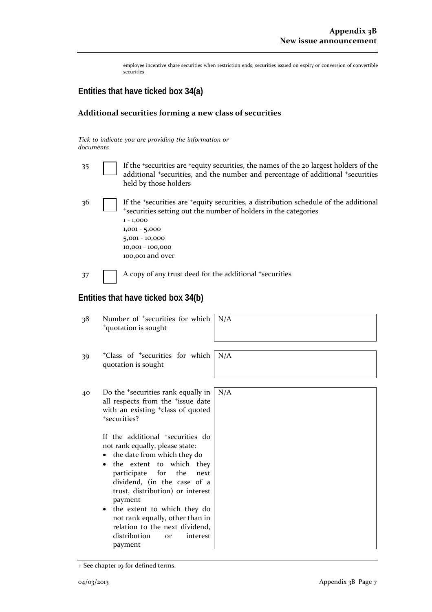employee incentive share securities when restriction ends, securities issued on expiry or conversion of convertible securities

## **Entities that have ticked box 34(a)**

#### **Additional securities forming a new class of securities**

*Tick to indicate you are providing the information or documents*

- 35 If the <sup>+</sup>securities are <sup>+</sup>equity securities, the names of the 20 largest holders of the additional <sup>+</sup>securities, and the number and percentage of additional <sup>+</sup>securities held by those holders
- 36 If the <sup>+</sup>securities are <sup>+</sup>equity securities, a distribution schedule of the additional <sup>+</sup>securities setting out the number of holders in the categories 1 ‐ 1,000 1,001 ‐ 5,000 5,001 ‐ 10,000 10,001 ‐ 100,000 100,001 and over

 $37$  A copy of any trust deed for the additional +securities

### **Entities that have ticked box 34(b)**

| Number of <sup>+</sup> securities for which<br>38<br><sup>+</sup> quotation is sought                                                                                                                                                                                                                                                                                                                                                                                                                                                                                            | N/A |
|----------------------------------------------------------------------------------------------------------------------------------------------------------------------------------------------------------------------------------------------------------------------------------------------------------------------------------------------------------------------------------------------------------------------------------------------------------------------------------------------------------------------------------------------------------------------------------|-----|
| <sup>+</sup> Class of <sup>+</sup> securities for which<br>39<br>quotation is sought                                                                                                                                                                                                                                                                                                                                                                                                                                                                                             | N/A |
| Do the <sup>+</sup> securities rank equally in<br>40<br>all respects from the <sup>+</sup> issue date<br>with an existing <sup>+</sup> class of quoted<br>*securities?<br>If the additional <sup>+</sup> securities do<br>not rank equally, please state:<br>the date from which they do<br>the extent to which they<br>participate for the<br>next<br>dividend, (in the case of a<br>trust, distribution) or interest<br>payment<br>• the extent to which they do<br>not rank equally, other than in<br>relation to the next dividend,<br>distribution<br>interest<br><b>or</b> | N/A |

<sup>+</sup> See chapter 19 for defined terms.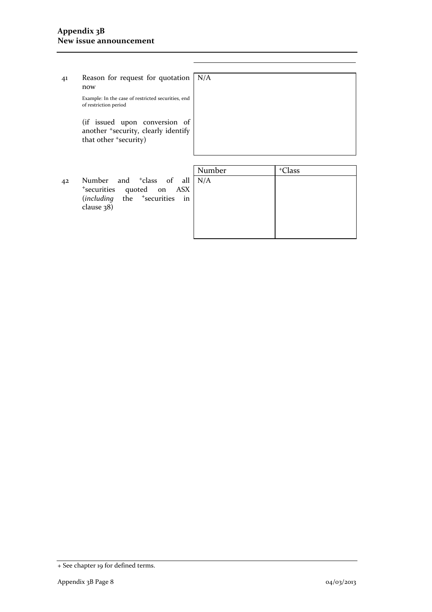41 Reason for request for quotation now  $N/A$ 

> Example: In the case of restricted securities, end of restriction period

(if issued upon conversion of another <sup>+</sup>security, clearly identify that other <sup>+</sup>security)

|    |                                                                                                                                                 | Number | <sup>+</sup> Class |
|----|-------------------------------------------------------------------------------------------------------------------------------------------------|--------|--------------------|
| 42 | Number and <sup>+</sup> class of all N/A<br><sup>+</sup> securities quoted on ASX<br>(including the <sup>+</sup> securities in<br>clause $38$ ) |        |                    |
|    |                                                                                                                                                 |        |                    |

<sup>+</sup> See chapter 19 for defined terms.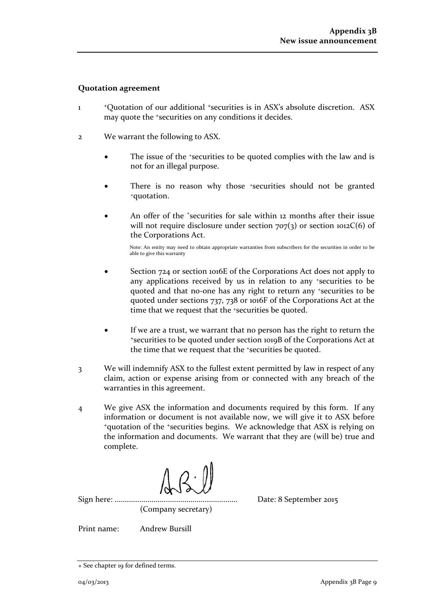#### **Quotation agreement**

- 1 <sup>+</sup>Quotation of our additional <sup>+</sup>securities is in ASX's absolute discretion. ASX may quote the <sup>+</sup>securities on any conditions it decides.
- 2 We warrant the following to ASX.
	- The issue of the +securities to be quoted complies with the law and is not for an illegal purpose.
	- There is no reason why those *\*securities* should not be granted +quotation.
	- An offer of the *\*securities* for sale within 12 months after their issue will not require disclosure under section  $707(3)$  or section  $1012C(6)$  of the Corporations Act.

Note: An entity may need to obtain appropriate warranties from subscribers for the securities in order to be able to give this warranty

- Section 724 or section 1016E of the Corporations Act does not apply to any applications received by us in relation to any +securities to be quoted and that no‐one has any right to return any +securities to be quoted under sections 737, 738 or 1016F of the Corporations Act at the time that we request that the +securities be quoted.
- If we are a trust, we warrant that no person has the right to return the <sup>+</sup>securities to be quoted under section 1019B of the Corporations Act at the time that we request that the +securities be quoted.
- 3 We will indemnify ASX to the fullest extent permitted by law in respect of any claim, action or expense arising from or connected with any breach of the warranties in this agreement.
- 4 We give ASX the information and documents required by this form. If any information or document is not available now, we will give it to ASX before <sup>+</sup>quotation of the <sup>+</sup>securities begins. We acknowledge that ASX is relying on the information and documents. We warrant that they are (will be) true and complete.

Sign here: ............................................................ Date: 8 September 2015 (Company secretary)

Print name: Andrew Bursill

<sup>+</sup> See chapter 19 for defined terms.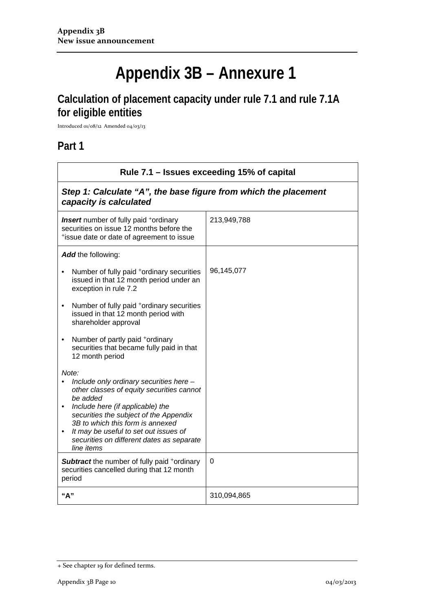# **Appendix 3B – Annexure 1**

# **Calculation of placement capacity under rule 7.1 and rule 7.1A for eligible entities**

Introduced 01/08/12 Amended 04/03/13

## **Part 1**

| Rule 7.1 – Issues exceeding 15% of capital                                                                                                                                                                                                                                                                                                   |             |  |
|----------------------------------------------------------------------------------------------------------------------------------------------------------------------------------------------------------------------------------------------------------------------------------------------------------------------------------------------|-------------|--|
| Step 1: Calculate "A", the base figure from which the placement<br>capacity is calculated                                                                                                                                                                                                                                                    |             |  |
| <b>Insert</b> number of fully paid <sup>+</sup> ordinary<br>securities on issue 12 months before the<br>*issue date or date of agreement to issue                                                                                                                                                                                            | 213,949,788 |  |
| Add the following:                                                                                                                                                                                                                                                                                                                           |             |  |
| Number of fully paid *ordinary securities<br>issued in that 12 month period under an<br>exception in rule 7.2                                                                                                                                                                                                                                | 96,145,077  |  |
| Number of fully paid +ordinary securities<br>issued in that 12 month period with<br>shareholder approval                                                                                                                                                                                                                                     |             |  |
| Number of partly paid +ordinary<br>$\bullet$<br>securities that became fully paid in that<br>12 month period                                                                                                                                                                                                                                 |             |  |
| Note:<br>Include only ordinary securities here -<br>other classes of equity securities cannot<br>be added<br>Include here (if applicable) the<br>$\bullet$<br>securities the subject of the Appendix<br>3B to which this form is annexed<br>It may be useful to set out issues of<br>securities on different dates as separate<br>line items |             |  |
| Subtract the number of fully paid +ordinary<br>securities cancelled during that 12 month<br>period                                                                                                                                                                                                                                           | 0           |  |
| "A"                                                                                                                                                                                                                                                                                                                                          | 310,094,865 |  |

<sup>+</sup> See chapter 19 for defined terms.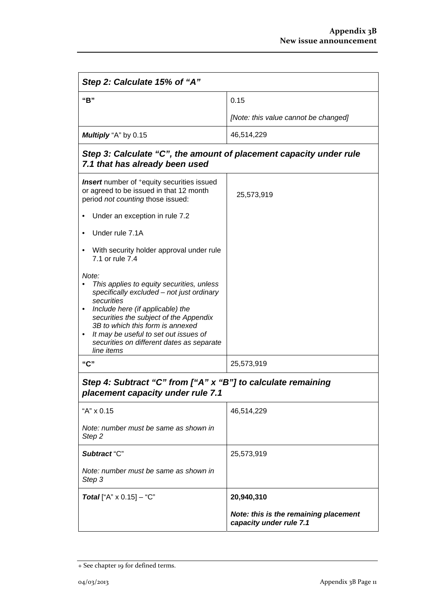| Step 2: Calculate 15% of "A"                                                                                                                                                                                                                                                                                                        |                                                                  |  |
|-------------------------------------------------------------------------------------------------------------------------------------------------------------------------------------------------------------------------------------------------------------------------------------------------------------------------------------|------------------------------------------------------------------|--|
| "B"                                                                                                                                                                                                                                                                                                                                 | 0.15                                                             |  |
|                                                                                                                                                                                                                                                                                                                                     | [Note: this value cannot be changed]                             |  |
| Multiply "A" by 0.15                                                                                                                                                                                                                                                                                                                | 46,514,229                                                       |  |
| Step 3: Calculate "C", the amount of placement capacity under rule<br>7.1 that has already been used                                                                                                                                                                                                                                |                                                                  |  |
| <b>Insert</b> number of <sup>+</sup> equity securities issued<br>or agreed to be issued in that 12 month<br>period not counting those issued:                                                                                                                                                                                       | 25,573,919                                                       |  |
| Under an exception in rule 7.2                                                                                                                                                                                                                                                                                                      |                                                                  |  |
| Under rule 7.1A                                                                                                                                                                                                                                                                                                                     |                                                                  |  |
| With security holder approval under rule<br>7.1 or rule 7.4                                                                                                                                                                                                                                                                         |                                                                  |  |
| Note:<br>This applies to equity securities, unless<br>specifically excluded - not just ordinary<br>securities<br>Include here (if applicable) the<br>securities the subject of the Appendix<br>3B to which this form is annexed<br>It may be useful to set out issues of<br>securities on different dates as separate<br>line items |                                                                  |  |
| "C"                                                                                                                                                                                                                                                                                                                                 | 25,573,919                                                       |  |
| Step 4: Subtract "C" from ["A" x "B"] to calculate remaining<br>placement capacity under rule 7.1                                                                                                                                                                                                                                   |                                                                  |  |
| "A" x 0.15                                                                                                                                                                                                                                                                                                                          | 46,514,229                                                       |  |
| Note: number must be same as shown in<br>Step 2                                                                                                                                                                                                                                                                                     |                                                                  |  |
| Subtract "C"                                                                                                                                                                                                                                                                                                                        | 25,573,919                                                       |  |
| Note: number must be same as shown in<br>Step 3                                                                                                                                                                                                                                                                                     |                                                                  |  |
| <b>Total</b> ["A" $\times$ 0.15] - "C"                                                                                                                                                                                                                                                                                              | 20,940,310                                                       |  |
|                                                                                                                                                                                                                                                                                                                                     | Note: this is the remaining placement<br>capacity under rule 7.1 |  |

<sup>+</sup> See chapter 19 for defined terms.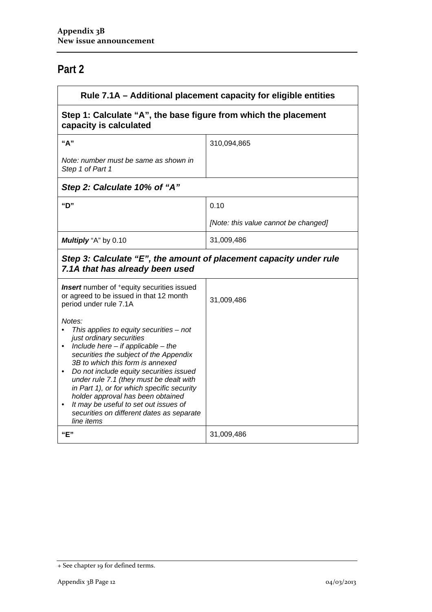# **Part 2**

| Rule 7.1A - Additional placement capacity for eligible entities                                                                                                                                                                                                                                                                                                                                                                                                                                  |                                      |  |
|--------------------------------------------------------------------------------------------------------------------------------------------------------------------------------------------------------------------------------------------------------------------------------------------------------------------------------------------------------------------------------------------------------------------------------------------------------------------------------------------------|--------------------------------------|--|
| Step 1: Calculate "A", the base figure from which the placement<br>capacity is calculated                                                                                                                                                                                                                                                                                                                                                                                                        |                                      |  |
| "A"                                                                                                                                                                                                                                                                                                                                                                                                                                                                                              | 310,094,865                          |  |
| Note: number must be same as shown in<br>Step 1 of Part 1                                                                                                                                                                                                                                                                                                                                                                                                                                        |                                      |  |
| Step 2: Calculate 10% of "A"                                                                                                                                                                                                                                                                                                                                                                                                                                                                     |                                      |  |
| "D"                                                                                                                                                                                                                                                                                                                                                                                                                                                                                              | 0.10                                 |  |
|                                                                                                                                                                                                                                                                                                                                                                                                                                                                                                  | [Note: this value cannot be changed] |  |
| Multiply "A" by 0.10                                                                                                                                                                                                                                                                                                                                                                                                                                                                             | 31,009,486                           |  |
| Step 3: Calculate "E", the amount of placement capacity under rule<br>7.1A that has already been used                                                                                                                                                                                                                                                                                                                                                                                            |                                      |  |
| <b>Insert</b> number of <sup>+</sup> equity securities issued<br>or agreed to be issued in that 12 month<br>period under rule 7.1A                                                                                                                                                                                                                                                                                                                                                               | 31,009,486                           |  |
| Notes:<br>This applies to equity securities $-$ not<br>just ordinary securities<br>• Include here $-$ if applicable $-$ the<br>securities the subject of the Appendix<br>3B to which this form is annexed<br>Do not include equity securities issued<br>٠<br>under rule 7.1 (they must be dealt with<br>in Part 1), or for which specific security<br>holder approval has been obtained<br>It may be useful to set out issues of<br>٠<br>securities on different dates as separate<br>line items |                                      |  |
| "E"                                                                                                                                                                                                                                                                                                                                                                                                                                                                                              | 31,009,486                           |  |

<sup>+</sup> See chapter 19 for defined terms.